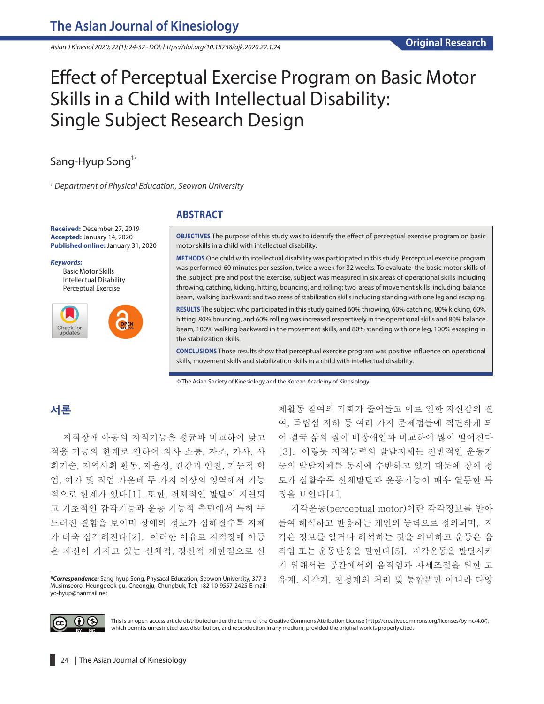*Asian J Kinesiol 2020; 22(1): 24-32 · DOI: https://doi.org/10.15758/ajk.2020.22.1.24*

# Effect of Perceptual Exercise Program on Basic Motor Skills in a Child with Intellectual Disability: Single Subject Research Design

# Sang-Hyup Song<sup>1\*</sup>

*1 Department of* P*hysical* E*ducation, Seowon University*

**Received:** December 27, 2019 **Accepted:** January 14, 2020 **Published online:** January 31, 2020

*Keywords:*

Basic Motor Skills Intellectual Disability Perceptual Exercise



### **ABSTRACT**

**OBJECTIVES** The purpose of this study was to identify the effect of perceptual exercise program on basic motor skills in a child with intellectual disability.

**METHODS** One child with intellectual disability was participated in this study. Perceptual exercise program was performed 60 minutes per session, twice a week for 32 weeks. To evaluate the basic motor skills of the subject pre and post the exercise, subject was measured in six areas of operational skills including throwing, catching, kicking, hitting, bouncing, and rolling; two areas of movement skills including balance beam, walking backward; and two areas of stabilization skills including standing with one leg and escaping.

**RESULTS** The subject who participated in this study gained 60% throwing, 60% catching, 80% kicking, 60% hitting, 80% bouncing, and 60% rolling was increased respectively in the operational skills and 80% balance beam, 100% walking backward in the movement skills, and 80% standing with one leg, 100% escaping in the stabilization skills.

**CONCLUSIONS** Those results show that perceptual exercise program was positive influence on operational skills, movement skills and stabilization skills in a child with intellectual disability.

© The Asian Society of Kinesiology and the Korean Academy of Kinesiology

## **서론**

지적장애 아동의 지적기능은 평균과 비교하여 낮고 적응 기능의 한계로 인하여 의사 소통, 자조, 가사, 사 회기술, 지역사회 활동, 자율성, 건강과 안전, 기능적 학 업, 여가 및 직업 가운데 두 가지 이상의 영역에서 기능 적으로 한계가 있다[1]. 또한, 전체적인 발달이 지연되 고 기초적인 감각기능과 운동 기능적 측면에서 특히 두 드러진 결함을 보이며 장애의 정도가 심해질수록 지체 가 더욱 심각해진다[2]. 이러한 이유로 지적장애 아동 은 자신이 가지고 있는 신체적, 정신적 제한점으로 신

체활동 참여의 기회가 줄어들고 이로 인한 자신감의 결 여, 독립심 저하 등 여러 가지 문제점들에 직면하게 되 어 결국 삶의 질이 비장애인과 비교하여 많이 떨어진다 [3]. 이렇듯 지적능력의 발달지체는 전반적인 운동기 능의 발달지체를 동시에 수반하고 있기 때문에 장애 정 도가 심할수록 신체발달과 운동기능이 매우 열등한 특 징을 보인다[4].

지각운동(perceptual motor)이란 감각정보를 받아 들여 해석하고 반응하는 개인의 능력으로 정의되며, 지 각은 정보를 알거나 해석하는 것을 의미하고 운동은 움 직임 또는 운동반응을 말한다[5]. 지각운동을 발달시키 기 위해서는 공간에서의 움직임과 자세조절을 위한 고 유계, 시각계, 전정계의 처리 및 통합뿐만 아니라 다양



This is an open-access article distributed under the terms of the Creative Commons Attribution License (http://creativecommons.org/licenses/by-nc/4.0/), which permits unrestricted use, distribution, and reproduction in any medium, provided the original work is properly cited.

*<sup>\*</sup>Correspondence:* Sang-hyup Song, Physacal Education, Seowon University, 377-3 Musimseoro, Heungdeok-gu, Cheongju, Chungbuk; Tel: +82-10-9557-2425 E-mail: yo-hyup@hanmail.net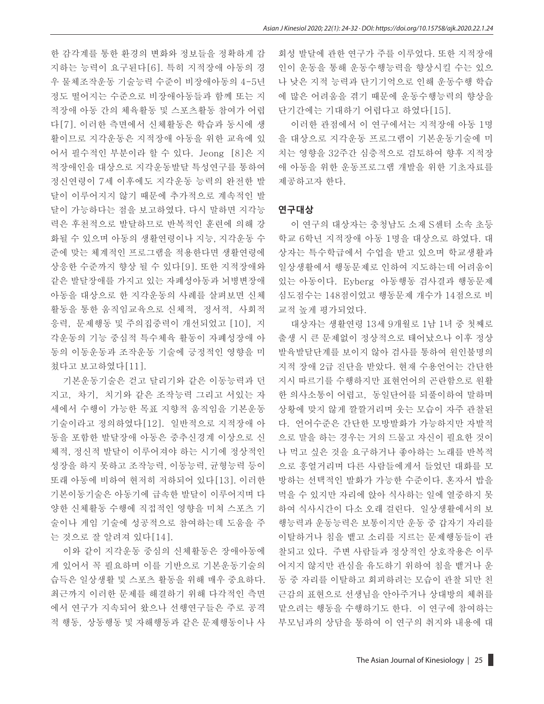한 감각계를 통한 환경의 변화와 정보들을 정확하게 감 지하는 능력이 요구된다[6]. 특히 지적장애 아동의 경 우 물체조작운동 기술능력 수준이 비장애아동의 4-5년 정도 떨어지는 수준으로 비장애아동들과 함께 또는 지 적장애 아동 간의 체육활동 및 스포츠활동 참여가 어렵 다[7]. 이러한 측면에서 신체활동은 학습과 동시에 생 활이므로 지각운동은 지적장애 아동을 위한 교육에 있 어서 필수적인 부분이라 할 수 있다. Jeong [8]은 지 적장애인을 대상으로 지각운동발달 특성연구를 통하여 정신연령이 7세 이후에도 지각운동 능력의 완전한 발 달이 이루어지지 않기 때문에 추가적으로 계속적인 발 달이 가능하다는 점을 보고하였다. 다시 말하면 지각능 력은 후천적으로 발달하므로 반복적인 훈련에 의해 강 화될 수 있으며 아동의 생활연령이나 지능, 지각운동 수 준에 맞는 체계적인 프로그램을 적용한다면 생활연령에 상응한 수준까지 향상 될 수 있다[9]. 또한 지적장애와 같은 발달장애를 가지고 있는 자폐성아동과 뇌병변장애 아동을 대상으로 한 지각운동의 사례를 살펴보면 신체 활동을 통한 움직임교육으로 신체적, 정서적, 사회적 응력, 문제행동 및 주의집중력이 개선되었고 [10], 지 각운동의 기능 중심적 특수체육 활동이 자폐성장애 아 동의 이동운동과 조작운동 기술에 긍정적인 영향을 미 쳤다고 보고하였다[11].

기본운동기술은 걷고 달리기와 같은 이동능력과 던 지고, 차기, 치기와 같은 조작능력 그리고 서있는 자 세에서 수행이 가능한 목표 지향적 움직임을 기본운동 기술이라고 정의하였다[12]. 일반적으로 지적장애 아 동을 포함한 발달장애 아동은 중추신경계 이상으로 신 체적, 정신적 발달이 이루어져야 하는 시기에 정상적인 성장을 하지 못하고 조작능력, 이동능력, 균형능력 등이 또래 아동에 비하여 현저히 저하되어 있다[13]. 이러한 기본이동기술은 아동기에 급속한 발달이 이루어지며 다 양한 신체활동 수행에 직접적인 영향을 미쳐 스포츠 기 술이나 게임 기술에 성공적으로 참여하는데 도움을 주 는 것으로 잘 알려져 있다[14].

이와 같이 지각운동 중심의 신체활동은 장애아동에 게 있어서 꼭 필요하며 이를 기반으로 기본운동기술의 습득은 일상생활 및 스포츠 활동을 위해 매우 중요하다. 최근까지 이러한 문제를 해결하기 위해 다각적인 측면 에서 연구가 지속되어 왔으나 선행연구들은 주로 공격 적 행동, 상동행동 및 자해행동과 같은 문제행동이나 사 회성 발달에 관한 연구가 주를 이루었다. 또한 지적장애 인이 운동을 통해 운동수행능력을 향상시킬 수는 있으 나 낮은 지적 능력과 단기기억으로 인해 운동수행 학습 에 많은 어려움을 겪기 때문에 운동수행능력의 향상을 단기간에는 기대하기 어렵다고 하였다[15].

이러한 관점에서 이 연구에서는 지적장애 아동 1명 을 대상으로 지각운동 프로그램이 기본운동기술에 미 치는 영향을 32주간 심층적으로 검토하여 향후 지적장 애 아동을 위한 운동프로그램 개발을 위한 기초자료를 제공하고자 한다.

#### **연구대상**

이 연구의 대상자는 충청남도 소재 S센터 소속 초등 학교 6학년 지적장애 아동 1명을 대상으로 하였다. 대 상자는 특수학급에서 수업을 받고 있으며 학교생활과 일상생활에서 행동문제로 인하여 지도하는데 어려움이 있는 아동이다. Eyberg 아동행동 검사결과 행동문제 심도점수는 148점이었고 행동문제 개수가 14점으로 비 교적 높게 평가되었다.

대상자는 생활연령 13세 9개월로 1남 1녀 중 첫째로 출생 시 큰 문제없이 정상적으로 태어났으나 이후 정상 발육발달단계를 보이지 않아 검사를 통하여 원인불명의 지적 장애 2급 진단을 받았다. 현재 수용언어는 간단한 지시 따르기를 수행하지만 표현언어의 곤란함으로 원활 한 의사소통이 어렵고, 동일단어를 되풀이하여 말하며 상황에 맞지 않게 깔깔거리며 웃는 모습이 자주 관찰된 다. 언어수준은 간단한 모방발화가 가능하지만 자발적 으로 말을 하는 경우는 거의 드물고 자신이 필요한 것이 나 먹고 싶은 것을 요구하거나 좋아하는 노래를 반복적 으로 흥얼거리며 다른 사람들에게서 들었던 대화를 모 방하는 선택적인 발화가 가능한 수준이다. 혼자서 밥을 먹을 수 있지만 자리에 앉아 식사하는 일에 열중하지 못 하여 식사시간이 다소 오래 걸린다. 일상생활에서의 보 행능력과 운동능력은 보통이지만 운동 중 갑자기 자리를 이탈하거나 침을 뱉고 소리를 지르는 문제행동들이 관 찰되고 있다. 주변 사람들과 정상적인 상호작용은 이루 어지지 않지만 관심을 유도하기 위하여 침을 뱉거나 운 동 중 자리를 이탈하고 회피하려는 모습이 관찰 되만 친 근감의 표현으로 선생님을 안아주거나 상대방의 체취를 맡으려는 행동을 수행하기도 한다. 이 연구에 참여하는 부모님과의 상담을 통하여 이 연구의 취지와 내용에 대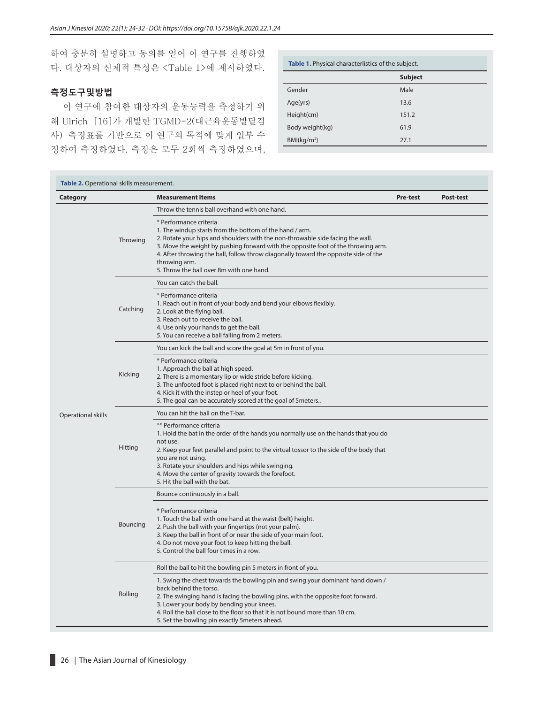하여 충분히 설명하고 동의를 얻어 이 연구를 진행하였 다. 대상자의 신체적 특성은 <Table 1>에 제시하였다.

## **측정도구및방법**

이 연구에 참여한 대상자의 운동능력을 측정하기 위 해 Ulrich [16]가 개발한 TGMD-2(대근육운동발달검 사) 측정표를 기반으로 이 연구의 목적에 맞게 일부 수 정하여 측정하였다. 측정은 모두 2회씩 측정하였으며,

| Table 1. Physical characterlistics of the subject. |                |  |  |  |  |
|----------------------------------------------------|----------------|--|--|--|--|
|                                                    | <b>Subject</b> |  |  |  |  |
| Gender                                             | Male           |  |  |  |  |
| Age(yrs)                                           | 13.6           |  |  |  |  |
| Height(cm)                                         | 151.2          |  |  |  |  |
| Body weight(kg)                                    | 61.9           |  |  |  |  |
| BM(kq/m <sup>2</sup> )                             | 27.1           |  |  |  |  |

| Category           |          | <b>Measurement Items</b>                                                                                                                                                                                                                                                                                                                                                                                     | Pre-test | Post-test |
|--------------------|----------|--------------------------------------------------------------------------------------------------------------------------------------------------------------------------------------------------------------------------------------------------------------------------------------------------------------------------------------------------------------------------------------------------------------|----------|-----------|
|                    |          | Throw the tennis ball overhand with one hand.                                                                                                                                                                                                                                                                                                                                                                |          |           |
|                    | Throwing | * Performance criteria<br>1. The windup starts from the bottom of the hand / arm.<br>2. Rotate your hips and shoulders with the non-throwable side facing the wall.<br>3. Move the weight by pushing forward with the opposite foot of the throwing arm.<br>4. After throwing the ball, follow throw diagonally toward the opposite side of the<br>throwing arm.<br>5. Throw the ball over 8m with one hand. |          |           |
|                    |          | You can catch the ball.                                                                                                                                                                                                                                                                                                                                                                                      |          |           |
|                    | Catching | * Performance criteria<br>1. Reach out in front of your body and bend your elbows flexibly.<br>2. Look at the flying ball.<br>3. Reach out to receive the ball.<br>4. Use only your hands to get the ball.<br>5. You can receive a ball falling from 2 meters.                                                                                                                                               |          |           |
|                    |          | You can kick the ball and score the goal at 5m in front of you.                                                                                                                                                                                                                                                                                                                                              |          |           |
|                    | Kicking  | * Performance criteria<br>1. Approach the ball at high speed.<br>2. There is a momentary lip or wide stride before kicking.<br>3. The unfooted foot is placed right next to or behind the ball.<br>4. Kick it with the instep or heel of your foot.<br>5. The goal can be accurately scored at the goal of 5meters                                                                                           |          |           |
| Operational skills |          | You can hit the ball on the T-bar.                                                                                                                                                                                                                                                                                                                                                                           |          |           |
|                    | Hitting  | ** Performance criteria<br>1. Hold the bat in the order of the hands you normally use on the hands that you do<br>not use.<br>2. Keep your feet parallel and point to the virtual tossor to the side of the body that<br>you are not using.<br>3. Rotate your shoulders and hips while swinging.<br>4. Move the center of gravity towards the forefoot.<br>5. Hit the ball with the bat.                     |          |           |
|                    | Bouncing | Bounce continuously in a ball.                                                                                                                                                                                                                                                                                                                                                                               |          |           |
|                    |          | * Performance criteria<br>1. Touch the ball with one hand at the waist (belt) height.<br>2. Push the ball with your fingertips (not your palm).<br>3. Keep the ball in front of or near the side of your main foot.<br>4. Do not move your foot to keep hitting the ball.<br>5. Control the ball four times in a row.                                                                                        |          |           |
|                    |          | Roll the ball to hit the bowling pin 5 meters in front of you.                                                                                                                                                                                                                                                                                                                                               |          |           |
|                    | Rolling  | 1. Swing the chest towards the bowling pin and swing your dominant hand down /<br>back behind the torso.<br>2. The swinging hand is facing the bowling pins, with the opposite foot forward.<br>3. Lower your body by bending your knees.<br>4. Roll the ball close to the floor so that it is not bound more than 10 cm.<br>5. Set the bowling pin exactly 5 meters ahead.                                  |          |           |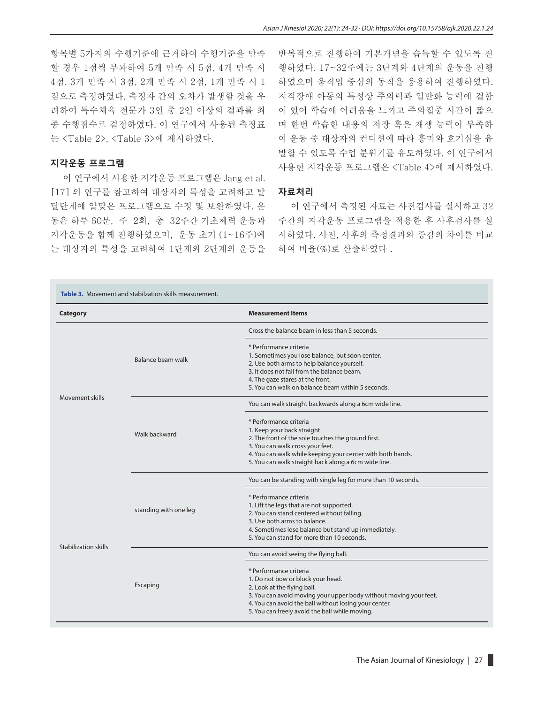항목별 5가지의 수행기준에 근거하여 수행기준을 만족 할 경우 1점씩 부과하여 5개 만족 시 5점, 4개 만족 시 4점, 3개 만족 시 3점, 2개 만족 시 2점, 1개 만족 시 1 점으로 측정하였다. 측정자 간의 오차가 발생할 것을 우 려하여 특수체육 전문가 3인 중 2인 이상의 결과를 최 종 수행점수로 결정하였다. 이 연구에서 사용된 측정표 는 <Table 2>, <Table 3>에 제시하였다.

#### **지각운동 프로그램**

이 연구에서 사용한 지각운동 프로그램은 Jang et al. [17] 의 연구를 참고하여 대상자의 특성을 고려하고 발 달단계에 알맞은 프로그램으로 수정 및 보완하였다. 운 동은 하루 60분, 주 2회, 총 32주간 기초체력 운동과 지각운동을 함께 진행하였으며, 운동 초기 (1~16주)에 는 대상자의 특성을 고려하여 1단계와 2단계의 운동을

반복적으로 진행하여 기본개념을 습득할 수 있도록 진 행하였다. 17~32주에는 3단계와 4단계의 운동을 진행 하였으며 움직임 중심의 동작을 응용하여 진행하였다. 지적장애 아동의 특성상 주의력과 일반화 능력에 결함 이 있어 학습에 어려움을 느끼고 주의집중 시간이 짧으 며 한번 학습한 내용의 저장 혹은 재생 능력이 부족하 여 운동 중 대상자의 컨디션에 따라 흥미와 호기심을 유 발할 수 있도록 수업 분위기를 유도하였다. 이 연구에서 사용한 지각운동 프로그램은 <Table 4>에 제시하였다.

#### **자료처리**

이 연구에서 측정된 자료는 사전검사를 실시하고 32 주간의 지각운동 프로그램을 적용한 후 사후검사를 실 시하였다. 사전, 사후의 측정결과와 증감의 차이를 비교 하여 비율(%)로 산출하였다 .

| <b>Category</b>      |                       | <b>Measurement Items</b>                                                       |  |  |  |
|----------------------|-----------------------|--------------------------------------------------------------------------------|--|--|--|
|                      |                       | Cross the balance beam in less than 5 seconds.                                 |  |  |  |
|                      |                       | * Performance criteria                                                         |  |  |  |
|                      | Balance beam walk     | 1. Sometimes you lose balance, but soon center.                                |  |  |  |
|                      |                       | 2. Use both arms to help balance yourself.                                     |  |  |  |
|                      |                       | 3. It does not fall from the balance beam.<br>4. The gaze stares at the front. |  |  |  |
|                      |                       | 5. You can walk on balance beam within 5 seconds.                              |  |  |  |
| Movement skills      |                       |                                                                                |  |  |  |
|                      |                       | You can walk straight backwards along a 6cm wide line.                         |  |  |  |
|                      |                       | * Performance criteria                                                         |  |  |  |
|                      | Walk backward         | 1. Keep your back straight                                                     |  |  |  |
|                      |                       | 2. The front of the sole touches the ground first.                             |  |  |  |
|                      |                       | 3. You can walk cross your feet.                                               |  |  |  |
|                      |                       | 4. You can walk while keeping your center with both hands.                     |  |  |  |
|                      |                       | 5. You can walk straight back along a 6cm wide line.                           |  |  |  |
|                      |                       | You can be standing with single leg for more than 10 seconds.                  |  |  |  |
|                      |                       | * Performance criteria                                                         |  |  |  |
|                      |                       | 1. Lift the legs that are not supported.                                       |  |  |  |
|                      | standing with one leg | 2. You can stand centered without falling.                                     |  |  |  |
|                      |                       | 3. Use both arms to balance.                                                   |  |  |  |
|                      |                       | 4. Sometimes lose balance but stand up immediately.                            |  |  |  |
| Stabilization skills |                       | 5. You can stand for more than 10 seconds.                                     |  |  |  |
|                      |                       | You can avoid seeing the flying ball.                                          |  |  |  |
|                      |                       | * Performance criteria                                                         |  |  |  |
|                      |                       | 1. Do not bow or block your head.                                              |  |  |  |
|                      | Escaping              | 2. Look at the flying ball.                                                    |  |  |  |
|                      |                       | 3. You can avoid moving your upper body without moving your feet.              |  |  |  |
|                      |                       | 4. You can avoid the ball without losing your center.                          |  |  |  |
|                      |                       | 5. You can freely avoid the ball while moving.                                 |  |  |  |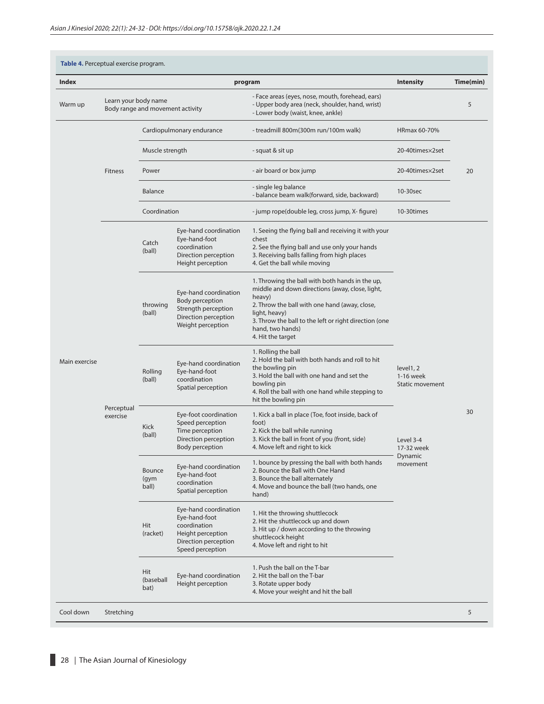| <b>Index</b>  |                        |                                  |                                                                                                                         | program                                                                                                                                                                                                                                                                          | <b>Intensity</b>                                                                            | Time(min) |
|---------------|------------------------|----------------------------------|-------------------------------------------------------------------------------------------------------------------------|----------------------------------------------------------------------------------------------------------------------------------------------------------------------------------------------------------------------------------------------------------------------------------|---------------------------------------------------------------------------------------------|-----------|
| Warm up       | Learn your body name   | Body range and movement activity |                                                                                                                         | - Face areas (eyes, nose, mouth, forehead, ears)<br>- Upper body area (neck, shoulder, hand, wrist)<br>- Lower body (waist, knee, ankle)                                                                                                                                         |                                                                                             | 5         |
|               |                        |                                  | Cardiopulmonary endurance                                                                                               | - treadmill 800m(300m run/100m walk)                                                                                                                                                                                                                                             | HRmax 60-70%                                                                                |           |
|               |                        | Muscle strength                  |                                                                                                                         | - squat & sit up                                                                                                                                                                                                                                                                 | 20-40times×2set                                                                             |           |
|               | Fitness                | Power                            |                                                                                                                         | - air board or box jump                                                                                                                                                                                                                                                          | 20-40times×2set                                                                             | 20        |
|               |                        | Balance                          |                                                                                                                         | - single leg balance<br>- balance beam walk(forward, side, backward)                                                                                                                                                                                                             | 10-30sec                                                                                    |           |
|               |                        | Coordination                     |                                                                                                                         | - jump rope(double leg, cross jump, X- figure)                                                                                                                                                                                                                                   | 10-30times                                                                                  |           |
| Main exercise | Perceptual<br>exercise | Catch<br>(ball)                  | Eye-hand coordination<br>Eye-hand-foot<br>coordination<br>Direction perception<br>Height perception                     | 1. Seeing the flying ball and receiving it with your<br>chest<br>2. See the flying ball and use only your hands<br>3. Receiving balls falling from high places<br>4. Get the ball while moving                                                                                   | level1, 2<br>1-16 week<br>Static movement<br>Level 3-4<br>17-32 week<br>Dynamic<br>movement | 30        |
|               |                        | throwing<br>(ball)               | Eye-hand coordination<br>Body perception<br>Strength perception<br>Direction perception<br>Weight perception            | 1. Throwing the ball with both hands in the up,<br>middle and down directions (away, close, light,<br>heavy)<br>2. Throw the ball with one hand (away, close,<br>light, heavy)<br>3. Throw the ball to the left or right direction (one<br>hand, two hands)<br>4. Hit the target |                                                                                             |           |
|               |                        | Rolling<br>(ball)                | Eye-hand coordination<br>Eye-hand-foot<br>coordination<br>Spatial perception                                            | 1. Rolling the ball<br>2. Hold the ball with both hands and roll to hit<br>the bowling pin<br>3. Hold the ball with one hand and set the<br>bowling pin<br>4. Roll the ball with one hand while stepping to<br>hit the bowling pin                                               |                                                                                             |           |
|               |                        | Kick<br>(ball)                   | Eye-foot coordination<br>Speed perception<br>Time perception<br>Direction perception<br><b>Body perception</b>          | 1. Kick a ball in place (Toe, foot inside, back of<br>foot)<br>2. Kick the ball while running<br>3. Kick the ball in front of you (front, side)<br>4. Move left and right to kick                                                                                                |                                                                                             |           |
|               |                        | Bounce<br>(gym<br>ball)          | Eye-hand coordination<br>Eye-hand-foot<br>coordination<br>Spatial perception                                            | 1. bounce by pressing the ball with both hands<br>2. Bounce the Ball with One Hand<br>3. Bounce the ball alternately<br>4. Move and bounce the ball (two hands, one<br>hand)                                                                                                     |                                                                                             |           |
|               |                        | Hit<br>(racket)                  | Eye-hand coordination<br>Eye-hand-foot<br>coordination<br>Height perception<br>Direction perception<br>Speed perception | 1. Hit the throwing shuttlecock<br>2. Hit the shuttlecock up and down<br>3. Hit up / down according to the throwing<br>shuttlecock height<br>4. Move left and right to hit                                                                                                       |                                                                                             |           |
|               |                        | Hit<br>(baseball<br>bat)         | Eye-hand coordination<br>Height perception                                                                              | 1. Push the ball on the T-bar<br>2. Hit the ball on the T-bar<br>3. Rotate upper body<br>4. Move your weight and hit the ball                                                                                                                                                    |                                                                                             |           |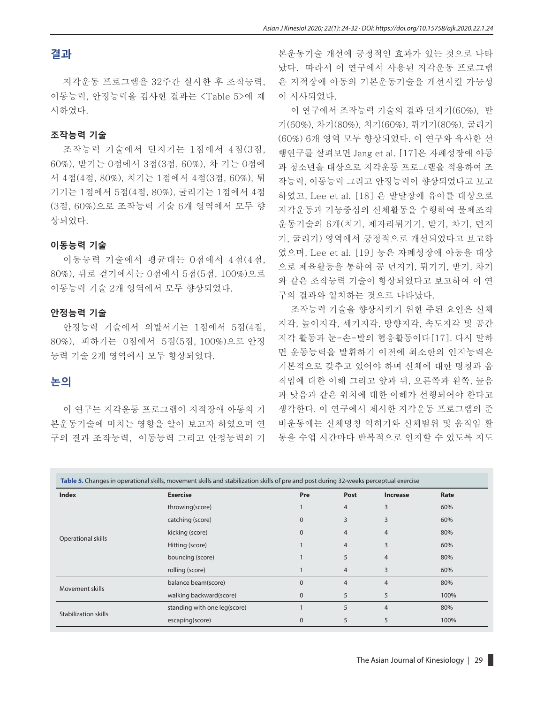## **결과**

지각운동 프로그램을 32주간 실시한 후 조작능력, 이동능력, 안정능력을 검사한 결과는 <Table 5>에 제 시하였다.

#### **조작능력 기술**

조작능력 기술에서 던지기는 1점에서 4점(3점, 60%), 받기는 0점에서 3점(3점, 60%), 차 기는 0점에 서 4점(4점, 80%), 치기는 1점에서 4점(3점, 60%), 튀 기기는 1점에서 5점(4점, 80%), 굴리기는 1점에서 4점 (3점, 60%)으로 조작능력 기술 6개 영역에서 모두 향 상되었다.

#### **이동능력 기술**

이동능력 기술에서 평균대는 0점에서 4점(4점, 80%), 뒤로 걷기에서는 0점에서 5점(5점, 100%)으로 이동능력 기술 2개 영역에서 모두 향상되었다.

#### **안정능력 기술**

안정능력 기술에서 외발서기는 1점에서 5점(4점, 80%), 피하기는 0점에서 5점(5점, 100%)으로 안정 능력 기술 2개 영역에서 모두 향상되었다.

## **논의**

이 연구는 지각운동 프로그램이 지적장애 아동의 기 본운동기술에 미치는 영향을 알아 보고자 하였으며 연 구의 결과 조작능력, 이동능력 그리고 안정능력의 기 본운동기술 개선에 긍정적인 효과가 있는 것으로 나타 났다. 따라서 이 연구에서 사용된 지각운동 프로그램 은 지적장애 아동의 기본운동기술을 개선시킬 가능성 이 시사되었다.

이 연구에서 조작능력 기술의 결과 던지기(60%), 받 기(60%), 차기(80%), 치기(60%), 튀기기(80%), 굴리기 (60%) 6개 영역 모두 향상되었다. 이 연구와 유사한 선 행연구를 살펴보면 Jang et al. [17]은 자폐성장애 아동 과 청소년을 대상으로 지각운동 프로그램을 적용하여 조 작능력, 이동능력 그리고 안정능력이 향상되었다고 보고 하였고, Lee et al. [18] 은 발달장애 유아를 대상으로 지각운동과 기능중심의 신체활동을 수행하여 물체조작 운동기술의 6개(치기, 제자리튀기기, 받기, 차기, 던지 기, 굴리기) 영역에서 긍정적으로 개선되었다고 보고하 였으며, Lee et al. [19] 등은 자폐성장애 아동을 대상 으로 체육활동을 통하여 공 던지기, 튀기기, 받기, 차기 와 같은 조작능력 기술이 향상되었다고 보고하여 이 연 구의 결과와 일치하는 것으로 나타났다.

조작능력 기술을 향상시키기 위한 주된 요인은 신체 지각, 높이지각, 세기지각, 방향지각, 속도지각 및 공간 지각 활동과 눈-손-발의 협응활동이다[17]. 다시 말하 면 운동능력을 발휘하기 이전에 최소한의 인지능력은 기본적으로 갖추고 있어야 하며 신체에 대한 명칭과 움 직임에 대한 이해 그리고 앞과 뒤, 오른쪽과 왼쪽, 높음 과 낮음과 같은 위치에 대한 이해가 선행되어야 한다고 생각한다. 이 연구에서 제시한 지각운동 프로그램의 준 비운동에는 신체명칭 익히기와 신체범위 및 움직임 활 동을 수업 시간마다 반복적으로 인지할 수 있도록 지도

| Table 5. Changes in operational skills, movement skills and stabilization skills of pre and post during 32-weeks perceptual exercise |                              |              |                |                 |      |  |
|--------------------------------------------------------------------------------------------------------------------------------------|------------------------------|--------------|----------------|-----------------|------|--|
| <b>Index</b>                                                                                                                         | <b>Exercise</b>              | Pre          | Post           | <b>Increase</b> | Rate |  |
|                                                                                                                                      | throwing(score)              |              | $\overline{4}$ | 3               | 60%  |  |
|                                                                                                                                      | catching (score)             | $\mathbf{0}$ | 3              | 3               | 60%  |  |
|                                                                                                                                      | kicking (score)              | $\mathbf{0}$ | $\overline{4}$ | $\overline{4}$  | 80%  |  |
| Operational skills                                                                                                                   | Hitting (score)              |              | 4              | 3               | 60%  |  |
|                                                                                                                                      | bouncing (score)             |              | 5              | $\overline{4}$  | 80%  |  |
|                                                                                                                                      | rolling (score)              |              | 4              | 3               | 60%  |  |
| Movement skills                                                                                                                      | balance beam(score)          | $\mathbf{0}$ | $\overline{4}$ | $\overline{4}$  | 80%  |  |
|                                                                                                                                      | walking backward(score)      | $\mathbf 0$  | 5              | 5               | 100% |  |
|                                                                                                                                      | standing with one leg(score) |              | 5              | $\overline{4}$  | 80%  |  |
| Stabilization skills                                                                                                                 | escaping(score)              | $\mathbf{0}$ | 5              | 5               | 100% |  |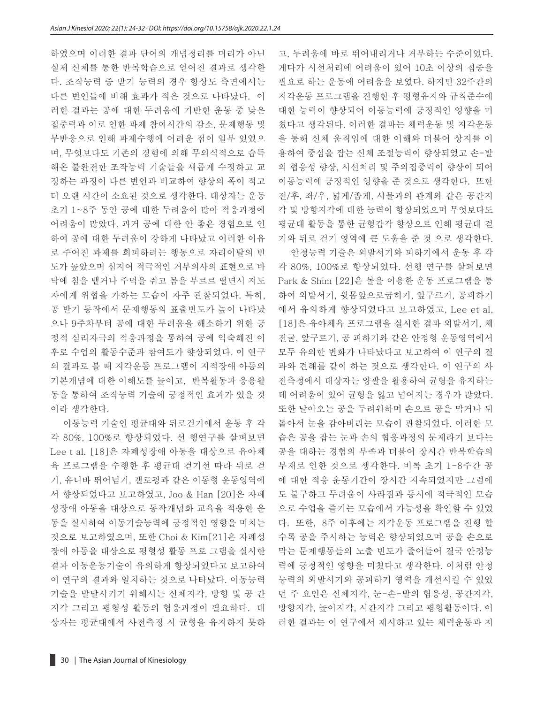하였으며 이러한 결과 단어의 개념정리를 머리가 아닌 실제 신체를 통한 반복학습으로 얻어진 결과로 생각한 다. 조작능력 중 받기 능력의 경우 향상도 측면에서는 다른 변인들에 비해 효과가 적은 것으로 나타났다. 이 러한 결과는 공에 대한 두려움에 기반한 운동 중 낮은 집중력과 이로 인한 과제 참여시간의 감소, 문제행동 및 무반응으로 인해 과제수행에 어려운 점이 일부 있었으 며, 무엇보다도 기존의 경험에 의해 무의식적으로 습득 해온 불완전한 조작능력 기술들을 새롭게 수정하고 교 정하는 과정이 다른 변인과 비교하여 향상의 폭이 적고 더 오랜 시간이 소요된 것으로 생각한다. 대상자는 운동 초기 1~8주 동안 공에 대한 두려움이 많아 적응과정에 어려움이 많았다. 과거 공에 대한 안 좋은 경험으로 인 하여 공에 대한 두려움이 강하게 나타났고 이러한 이유 로 주어진 과제를 회피하려는 행동으로 자리이탈의 빈 도가 높았으며 심지어 적극적인 거부의사의 표현으로 바 닥에 침을 뱉거나 주먹을 쥐고 몸을 부르르 떨면서 지도 자에게 위협을 가하는 모습이 자주 관찰되었다. 특히, 공 받기 동작에서 문제행동의 표출빈도가 높이 나타났 으나 9주차부터 공에 대한 두려움을 해소하기 위한 긍 정적 심리자극의 적응과정을 통하여 공에 익숙해진 이 후로 수업의 활동수준과 참여도가 향상되었다. 이 연구 의 결과로 볼 때 지각운동 프로그램이 지적장애 아동의 기본개념에 대한 이해도를 높이고, 반복활동과 응용활 동을 통하여 조작능력 기술에 긍정적인 효과가 있을 것 이라 생각한다.

이동능력 기술인 평균대와 뒤로걷기에서 운동 후 각 각 80%, 100%로 향상되었다. 선 행연구를 살펴보면 Lee t al. [18]은 자폐성장애 아동을 대상으로 유아체 육 프로그램을 수행한 후 평균대 걷기선 따라 뒤로 걷 기, 유니바 뛰어넘기, 갤로핑과 같은 이동형 운동영역에 서 향상되었다고 보고하였고, Joo & Han [20]은 자폐 성장애 아동을 대상으로 동작개념화 교육을 적용한 운 동을 실시하여 이동기술능력에 긍정적인 영향을 미치는 것으로 보고하였으며, 또한 Choi & Kim[21]은 자폐성 장애 아동을 대상으로 평형성 활동 프로 그램을 실시한 결과 이동운동기술이 유의하게 향상되었다고 보고하여 이 연구의 결과와 일치하는 것으로 나타났다. 이동능력 기술을 발달시키기 위해서는 신체지각, 방향 및 공 간 지각 그리고 평형성 활동의 협응과정이 필요하다. 대 상자는 평균대에서 사전측정 시 균형을 유지하지 못하 고, 두려움에 바로 뛰어내리거나 거부하는 수준이었다. 게다가 시선처리에 어려움이 있어 10초 이상의 집중을 필요로 하는 운동에 어려움을 보였다. 하지만 32주간의 지각운동 프로그램을 진행한 후 평형유지와 규칙준수에 대한 능력이 향상되어 이동능력에 긍정적인 영향을 미 쳤다고 생각된다. 이러한 결과는 체력운동 및 지각운동 을 통해 신체 움직임에 대한 이해와 더불어 상지를 이 용하여 중심을 잡는 신체 조절능력이 향상되었고 손-발 의 협응성 향상, 시선처리 및 주의집중력이 향상이 되어 이동능력에 긍정적인 영향을 준 것으로 생각한다. 또한 전/후, 좌/우, 넓게/좁게, 사물과의 관계와 같은 공간지 각 및 방향지각에 대한 능력이 향상되었으며 무엇보다도 평균대 활동을 통한 균형감각 향상으로 인해 평균대 걷 기와 뒤로 걷기 영역에 큰 도움을 준 것 으로 생각한다.

안정능력 기술은 외발서기와 피하기에서 운동 후 각 각 80%, 100%로 향상되었다. 선행 연구를 살펴보면 Park & Shim [22]은 볼을 이용한 운동 프로그램을 통 하여 외발서기, 윗몸앞으로굽히기, 앞구르기, 공피하기 에서 유의하게 향상되었다고 보고하였고, Lee et al, [18]은 유아체육 프로그램을 실시한 결과 외발서기, 체 전굴, 앞구르기, 공 피하기와 같은 안정형 운동영역에서 모두 유의한 변화가 나타났다고 보고하여 이 연구의 결 과와 견해를 같이 하는 것으로 생각한다. 이 연구의 사 전측정에서 대상자는 양팔을 활용하여 균형을 유지하는 데 어려움이 있어 균형을 잃고 넘어지는 경우가 많았다. 또한 날아오는 공을 두려워하며 손으로 공을 막거나 뒤 돌아서 눈을 감아버리는 모습이 관찰되었다. 이러한 모 습은 공을 잡는 눈과 손의 협응과정의 문제라기 보다는 공을 대하는 경험의 부족과 더불어 장시간 반복학습의 부재로 인한 것으로 생각한다. 비록 초기 1-8주간 공 에 대한 적응 운동기간이 장시간 지속되었지만 그럼에 도 불구하고 두려움이 사라짐과 동시에 적극적인 모습 으로 수업을 즐기는 모습에서 가능성을 확인할 수 있었 다. 또한, 8주 이후에는 지각운동 프로그램을 진행 할 수록 공을 주시하는 능력은 향상되었으며 공을 손으로 막는 문제행동들의 노출 빈도가 줄어들어 결국 안정능 력에 긍정적인 영향을 미쳤다고 생각한다. 이처럼 안정 능력의 외발서기와 공피하기 영역을 개선시킬 수 있었 던 주 요인은 신체지각, 눈-손-발의 협응성, 공간지각, 방향지각, 높이지각, 시간지각 그리고 평형활동이다. 이 러한 결과는 이 연구에서 제시하고 있는 체력운동과 지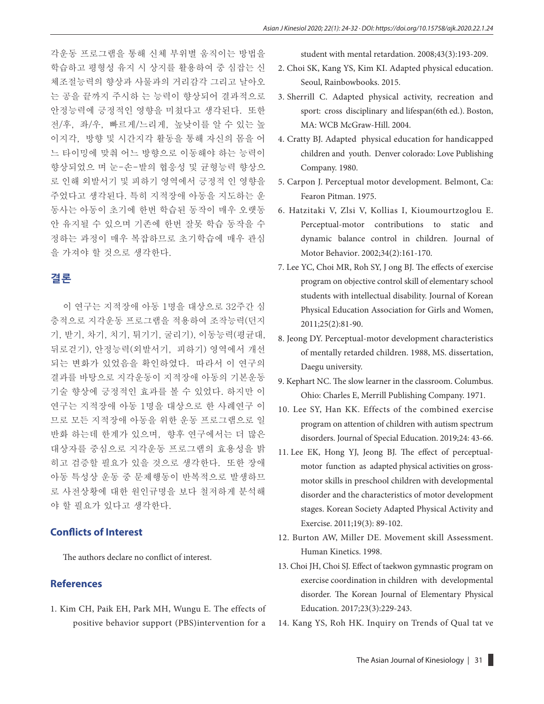각운동 프로그램을 통해 신체 부위별 움직이는 방법을 학습하고 평형성 유지 시 상지를 활용하여 중 심잡는 신 체조절능력의 향상과 사물과의 거리감각 그리고 날아오 는 공을 끝까지 주시하 는 능력이 향상되어 결과적으로 안정능력에 긍정적인 영향을 미쳤다고 생각된다. 또한 전/후, 좌/우, 빠르게/느리게, 높낮이를 알 수 있는 높 이지각, 방향 및 시간지각 활동을 통해 자신의 몸을 어 느 타이밍에 맞춰 어느 방향으로 이동해야 하는 능력이 향상되었으 며 눈-손-발의 협응성 및 균형능력 향상으 로 인해 외발서기 및 피하기 영역에서 긍정적 인 영향을 주었다고 생각된다. 특히 지적장애 아동을 지도하는 운 동사는 아동이 초기에 한번 학습된 동작이 매우 오랫동 안 유지될 수 있으며 기존에 한번 잘못 학습 동작을 수 정하는 과정이 매우 복잡하므로 초기학습에 매우 관심 을 가져야 할 것으로 생각한다.

## **결론**

이 연구는 지적장애 아동 1명을 대상으로 32주간 심 층적으로 지각운동 프로그램을 적용하여 조작능력(던지 기, 받기, 차기, 치기, 튀기기, 굴리기), 이동능력(평균대, 뒤로걷기), 안정능력(외발서기, 피하기) 영역에서 개선 되는 변화가 있었음을 확인하였다. 따라서 이 연구의 결과를 바탕으로 지각운동이 지적장애 아동의 기본운동 기술 향상에 긍정적인 효과를 볼 수 있었다. 하지만 이 연구는 지적장애 아동 1명을 대상으로 한 사례연구 이 므로 모든 지적장애 아동을 위한 운동 프로그램으로 일 반화 하는데 한계가 있으며, 향후 연구에서는 더 많은 대상자를 중심으로 지각운동 프로그램의 효용성을 밝 히고 검증할 필요가 있을 것으로 생각한다. 또한 장애 아동 특성상 운동 중 문제행동이 반복적으로 발생하므 로 사전상황에 대한 원인규명을 보다 철저하게 분석해 야 할 필요가 있다고 생각한다.

#### **Conflicts of Interest**

The authors declare no conflict of interest.

## **References**

1. Kim CH, Paik EH, Park MH, Wungu E. The effects of positive behavior support (PBS)intervention for a student with mental retardation. 2008;43(3):193-209.

- 2. Choi SK, Kang YS, Kim KI. Adapted physical education. Seoul, Rainbowbooks. 2015.
- 3. Sherrill C. Adapted physical activity, recreation and sport: cross disciplinary and lifespan(6th ed.). Boston, MA: WCB McGraw-Hill. 2004.
- 4. Cratty BJ. Adapted physical education for handicapped children and youth. Denver colorado: Love Publishing Company. 1980.
- 5. Carpon J. Perceptual motor development. Belmont, Ca: Fearon Pitman. 1975.
- 6. Hatzitaki V, Zlsi V, Kollias I, Kioumourtzoglou E. Perceptual-motor contributions to static and dynamic balance control in children. Journal of Motor Behavior. 2002;34(2):161-170.
- 7. Lee YC, Choi MR, Roh SY, J ong BJ. The effects of exercise program on objective control skill of elementary school students with intellectual disability. Journal of Korean Physical Education Association for Girls and Women, 2011;25(2):81-90.
- 8. Jeong DY. Perceptual-motor development characteristics of mentally retarded children. 1988, MS. dissertation, Daegu university.
- 9. Kephart NC. The slow learner in the classroom. Columbus. Ohio: Charles E, Merrill Publishing Company. 1971.
- 10. Lee SY, Han KK. Effects of the combined exercise program on attention of children with autism spectrum disorders. Journal of Special Education. 2019;24: 43-66.
- 11. Lee EK, Hong YJ, Jeong BJ. The effect of perceptualmotor function as adapted physical activities on grossmotor skills in preschool children with developmental disorder and the characteristics of motor development stages. Korean Society Adapted Physical Activity and Exercise. 2011;19(3): 89-102.
- 12. Burton AW, Miller DE. Movement skill Assessment. Human Kinetics. 1998.
- 13. Choi JH, Choi SJ. Effect of taekwon gymnastic program on exercise coordination in children with developmental disorder. The Korean Journal of Elementary Physical Education. 2017;23(3):229-243.
- 14. Kang YS, Roh HK. Inquiry on Trends of Qual tat ve